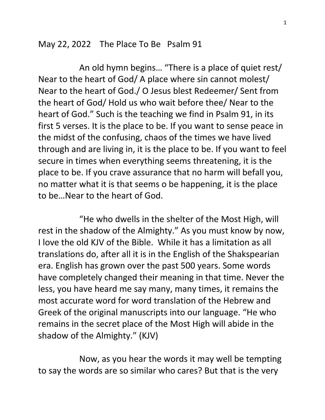May 22, 2022 The Place To Be Psalm 91

 An old hymn begins… "There is a place of quiet rest/ Near to the heart of God/ A place where sin cannot molest/ Near to the heart of God./ O Jesus blest Redeemer/ Sent from the heart of God/ Hold us who wait before thee/ Near to the heart of God." Such is the teaching we find in Psalm 91, in its first 5 verses. It is the place to be. If you want to sense peace in the midst of the confusing, chaos of the times we have lived through and are living in, it is the place to be. If you want to feel secure in times when everything seems threatening, it is the place to be. If you crave assurance that no harm will befall you, no matter what it is that seems o be happening, it is the place to be…Near to the heart of God.

 "He who dwells in the shelter of the Most High, will rest in the shadow of the Almighty." As you must know by now, I love the old KJV of the Bible. While it has a limitation as all translations do, after all it is in the English of the Shakspearian era. English has grown over the past 500 years. Some words have completely changed their meaning in that time. Never the less, you have heard me say many, many times, it remains the most accurate word for word translation of the Hebrew and Greek of the original manuscripts into our language. "He who remains in the secret place of the Most High will abide in the shadow of the Almighty." (KJV)

 Now, as you hear the words it may well be tempting to say the words are so similar who cares? But that is the very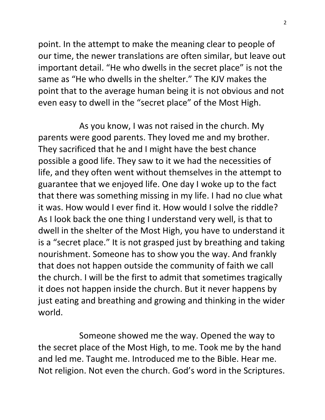point. In the attempt to make the meaning clear to people of our time, the newer translations are often similar, but leave out important detail. "He who dwells in the secret place" is not the same as "He who dwells in the shelter." The KJV makes the point that to the average human being it is not obvious and not even easy to dwell in the "secret place" of the Most High.

 As you know, I was not raised in the church. My parents were good parents. They loved me and my brother. They sacrificed that he and I might have the best chance possible a good life. They saw to it we had the necessities of life, and they often went without themselves in the attempt to guarantee that we enjoyed life. One day I woke up to the fact that there was something missing in my life. I had no clue what it was. How would I ever find it. How would I solve the riddle? As I look back the one thing I understand very well, is that to dwell in the shelter of the Most High, you have to understand it is a "secret place." It is not grasped just by breathing and taking nourishment. Someone has to show you the way. And frankly that does not happen outside the community of faith we call the church. I will be the first to admit that sometimes tragically it does not happen inside the church. But it never happens by just eating and breathing and growing and thinking in the wider world.

 Someone showed me the way. Opened the way to the secret place of the Most High, to me. Took me by the hand and led me. Taught me. Introduced me to the Bible. Hear me. Not religion. Not even the church. God's word in the Scriptures.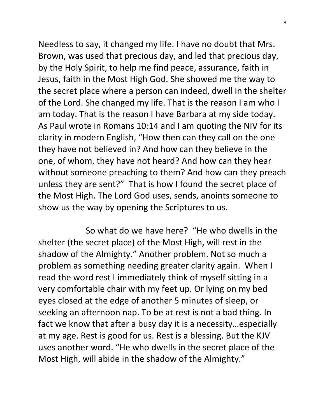Needless to say, it changed my life. I have no doubt that Mrs. Brown, was used that precious day, and led that precious day, by the Holy Spirit, to help me find peace, assurance, faith in Jesus, faith in the Most High God. She showed me the way to the secret place where a person can indeed, dwell in the shelter of the Lord. She changed my life. That is the reason I am who I am today. That is the reason I have Barbara at my side today. As Paul wrote in Romans 10:14 and I am quoting the NIV for its clarity in modern English, "How then can they call on the one they have not believed in? And how can they believe in the one, of whom, they have not heard? And how can they hear without someone preaching to them? And how can they preach unless they are sent?" That is how I found the secret place of the Most High. The Lord God uses, sends, anoints someone to show us the way by opening the Scriptures to us.

 So what do we have here? "He who dwells in the shelter (the secret place) of the Most High, will rest in the shadow of the Almighty." Another problem. Not so much a problem as something needing greater clarity again. When I read the word rest I immediately think of myself sitting in a very comfortable chair with my feet up. Or lying on my bed eyes closed at the edge of another 5 minutes of sleep, or seeking an afternoon nap. To be at rest is not a bad thing. In fact we know that after a busy day it is a necessity…especially at my age. Rest is good for us. Rest is a blessing. But the KJV uses another word. "He who dwells in the secret place of the Most High, will abide in the shadow of the Almighty."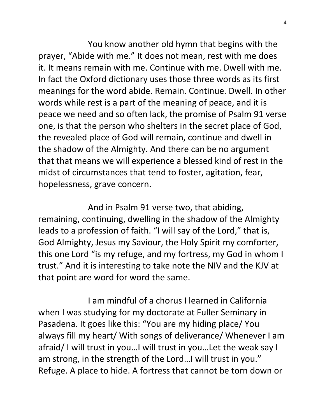You know another old hymn that begins with the prayer, "Abide with me." It does not mean, rest with me does it. It means remain with me. Continue with me. Dwell with me. In fact the Oxford dictionary uses those three words as its first meanings for the word abide. Remain. Continue. Dwell. In other words while rest is a part of the meaning of peace, and it is peace we need and so often lack, the promise of Psalm 91 verse one, is that the person who shelters in the secret place of God, the revealed place of God will remain, continue and dwell in the shadow of the Almighty. And there can be no argument that that means we will experience a blessed kind of rest in the midst of circumstances that tend to foster, agitation, fear, hopelessness, grave concern.

 And in Psalm 91 verse two, that abiding, remaining, continuing, dwelling in the shadow of the Almighty leads to a profession of faith. "I will say of the Lord," that is, God Almighty, Jesus my Saviour, the Holy Spirit my comforter, this one Lord "is my refuge, and my fortress, my God in whom I trust." And it is interesting to take note the NIV and the KJV at that point are word for word the same.

 I am mindful of a chorus I learned in California when I was studying for my doctorate at Fuller Seminary in Pasadena. It goes like this: "You are my hiding place/ You always fill my heart/ With songs of deliverance/ Whenever I am afraid/ I will trust in you…I will trust in you…Let the weak say I am strong, in the strength of the Lord…I will trust in you." Refuge. A place to hide. A fortress that cannot be torn down or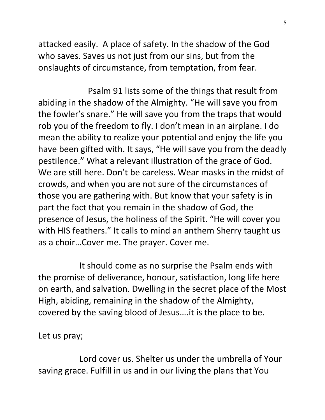attacked easily. A place of safety. In the shadow of the God who saves. Saves us not just from our sins, but from the onslaughts of circumstance, from temptation, from fear.

 Psalm 91 lists some of the things that result from abiding in the shadow of the Almighty. "He will save you from the fowler's snare." He will save you from the traps that would rob you of the freedom to fly. I don't mean in an airplane. I do mean the ability to realize your potential and enjoy the life you have been gifted with. It says, "He will save you from the deadly pestilence." What a relevant illustration of the grace of God. We are still here. Don't be careless. Wear masks in the midst of crowds, and when you are not sure of the circumstances of those you are gathering with. But know that your safety is in part the fact that you remain in the shadow of God, the presence of Jesus, the holiness of the Spirit. "He will cover you with HIS feathers." It calls to mind an anthem Sherry taught us as a choir…Cover me. The prayer. Cover me.

 It should come as no surprise the Psalm ends with the promise of deliverance, honour, satisfaction, long life here on earth, and salvation. Dwelling in the secret place of the Most High, abiding, remaining in the shadow of the Almighty, covered by the saving blood of Jesus….it is the place to be.

Let us pray;

 Lord cover us. Shelter us under the umbrella of Your saving grace. Fulfill in us and in our living the plans that You